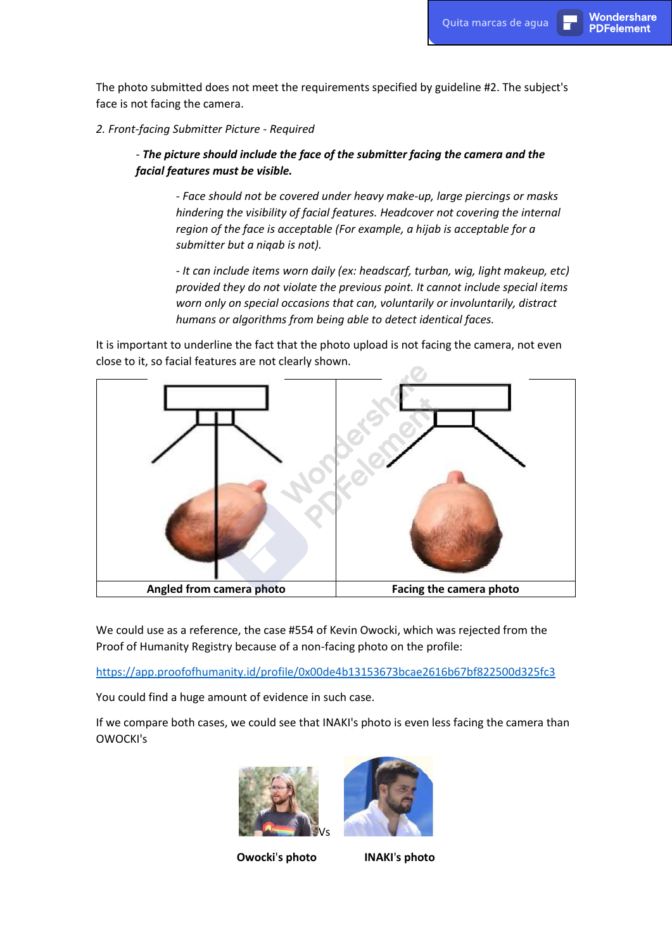The photo submitted does not meet the requirements specified by guideline #2. The subject's face is not facing the camera.

## *2. Front-facing Submitter Picture - Required*

## *- The picture should include the face of the submitter facing the camera and the facial features must be visible.*

*- Face should not be covered under heavy make-up, large piercings or masks hindering the visibility of facial features. Headcover not covering the internal region of the face is acceptable (For example, a hijab is acceptable for a submitter but a niqab is not).* 

*- It can include items worn daily (ex: headscarf, turban, wig, light makeup, etc) provided they do not violate the previous point. It cannot include special items worn only on special occasions that can, voluntarily or involuntarily, distract humans or algorithms from being able to detect identical faces.*

It is important to underline the fact that the photo upload is not facing the camera, not even close to it, so facial features are not clearly shown.



We could use as a reference, the case #554 of Kevin Owocki, which was rejected from the Proof of Humanity Registry because of a non-facing photo on the profile:

<https://app.proofofhumanity.id/profile/0x00de4b13153673bcae2616b67bf822500d325fc3>

You could find a huge amount of evidence in such case.

If we compare both cases, we could see that INAKI's photo is even less facing the camera than OWOCKI's





**Owocki**'**s photo INAKI**'**s photo**